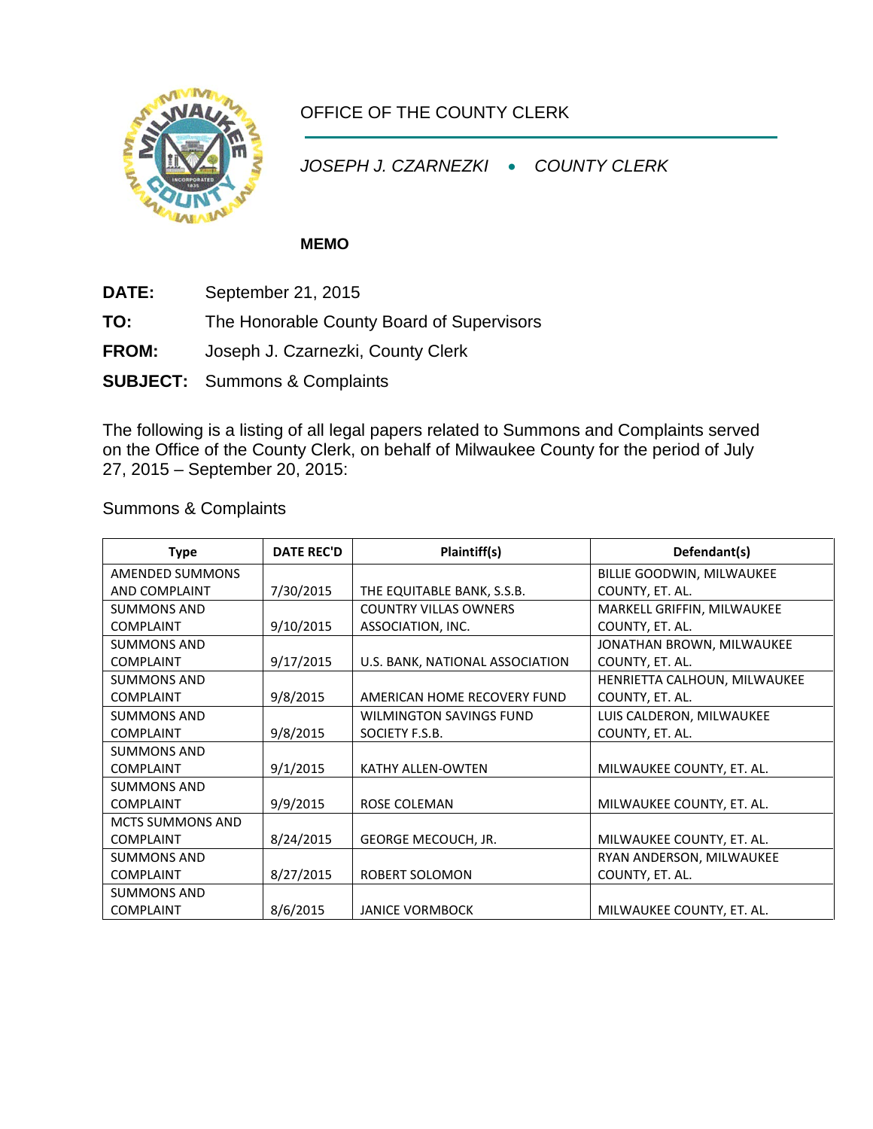

## OFFICE OF THE COUNTY CLERK

*JOSEPH J. CZARNEZKI* • *COUNTY CLERK*

## **MEMO**

- **DATE:** September 21, 2015
- **TO:** The Honorable County Board of Supervisors
- **FROM:** Joseph J. Czarnezki, County Clerk
- **SUBJECT:** Summons & Complaints

The following is a listing of all legal papers related to Summons and Complaints served on the Office of the County Clerk, on behalf of Milwaukee County for the period of July 27, 2015 – September 20, 2015:

Summons & Complaints

| <b>Type</b>        | <b>DATE REC'D</b> | Plaintiff(s)                      | Defendant(s)                 |
|--------------------|-------------------|-----------------------------------|------------------------------|
| AMENDED SUMMONS    |                   |                                   | BILLIE GOODWIN, MILWAUKEE    |
| AND COMPLAINT      | 7/30/2015         | THE EQUITABLE BANK, S.S.B.        | COUNTY, ET. AL.              |
| <b>SUMMONS AND</b> |                   | <b>COUNTRY VILLAS OWNERS</b>      | MARKELL GRIFFIN, MILWAUKEE   |
| <b>COMPLAINT</b>   | 9/10/2015         | ASSOCIATION, INC.                 | COUNTY, ET. AL.              |
| <b>SUMMONS AND</b> |                   |                                   | JONATHAN BROWN, MILWAUKEE    |
| <b>COMPLAINT</b>   | 9/17/2015         | U.S. BANK, NATIONAL ASSOCIATION   | COUNTY, ET. AL.              |
| <b>SUMMONS AND</b> |                   |                                   | HENRIETTA CALHOUN, MILWAUKEE |
| <b>COMPLAINT</b>   | 9/8/2015          | AMERICAN HOME RECOVERY FUND       | COUNTY, ET. AL.              |
| <b>SUMMONS AND</b> |                   | <b>WILMINGTON SAVINGS FUND</b>    | LUIS CALDERON, MILWAUKEE     |
| <b>COMPLAINT</b>   | 9/8/2015          | SOCIETY F.S.B.                    | COUNTY, ET. AL.              |
| <b>SUMMONS AND</b> |                   |                                   |                              |
| <b>COMPLAINT</b>   | 9/1/2015          | KATHY ALLEN-OWTEN                 | MILWAUKEE COUNTY, ET. AL.    |
| <b>SUMMONS AND</b> |                   |                                   |                              |
| <b>COMPLAINT</b>   | 9/9/2015          | ROSE COLEMAN                      | MILWAUKEE COUNTY, ET. AL.    |
| MCTS SUMMONS AND   |                   |                                   |                              |
| <b>COMPLAINT</b>   | 8/24/2015         | <b>GEORGE MECOUCH, JR.</b>        | MILWAUKEE COUNTY, ET. AL.    |
| <b>SUMMONS AND</b> |                   |                                   | RYAN ANDERSON, MILWAUKEE     |
| <b>COMPLAINT</b>   | 8/27/2015         | COUNTY, ET. AL.<br>ROBERT SOLOMON |                              |
| <b>SUMMONS AND</b> |                   |                                   |                              |
| <b>COMPLAINT</b>   | 8/6/2015          | <b>JANICE VORMBOCK</b>            | MILWAUKEE COUNTY, ET. AL.    |